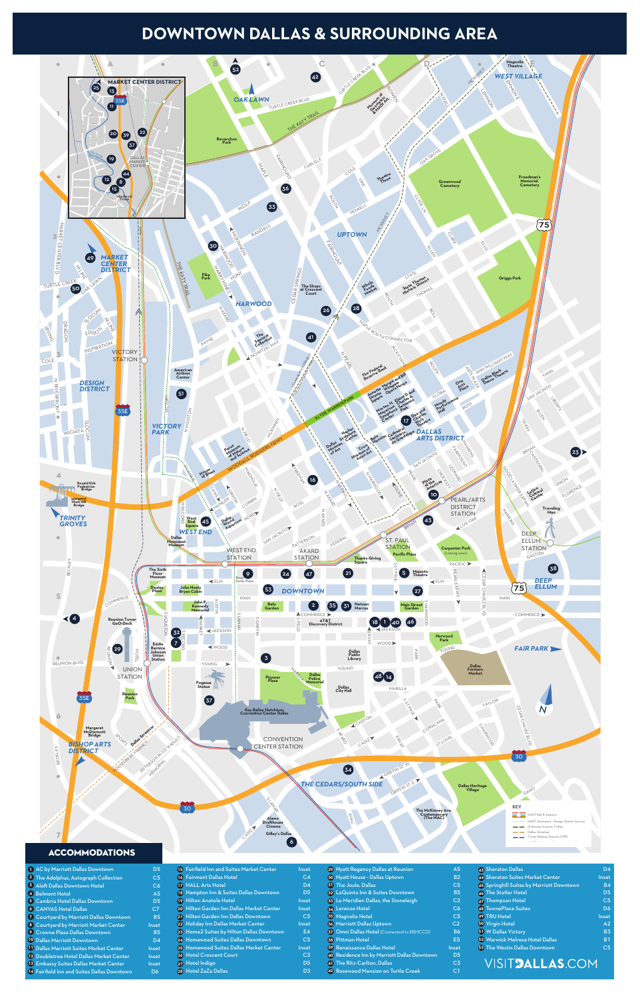OAK LAWN

- $\mathsf{C}\:\mathsf{by}\:\mathsf{Marriott}\:\mathsf{D}\mathsf{allas}\:\mathsf{Down}\:\mathsf{com} \mathsf{Dom} \longrightarrow \mathsf{D}\mathsf{S}$ **1**
- The Adolphus, Autograph Collection C5 **2**
- Aloft Dallas Downtown Hotel C6 **3**
- Belmont Hotel A5 **4**
- Cambria Hotel Dallas Downtown D5 **5**
- CANVAS Hotel Dallas C7 **6**
- Courtyard by Marriott Dallas Downtown B5 **7**
- 8 Courtyard by Marriott Market Center **Inset**
- Crowne Plaza Dallas Downtown B5 **9**
- Dallas Marriott Downtown D4 **10**
- **11** Dallas Marriott Suites Market Center Philosopher
- 12 Doubletree Hotel Dallas Market Center lnset
- 13 Embassy Suites Dallas Market Center **Inset**
- Fairfield Inn and Suites Dallas Downtown D6 **14**

# **DOWNTOWN DALLAS & SURROUNDING AREA**



| $\mathcal{L}^{\text{max}}_{\text{max}}$ and $\mathcal{L}^{\text{max}}_{\text{max}}$ and $\mathcal{L}^{\text{max}}_{\text{max}}$ and $\mathcal{L}^{\text{max}}_{\text{max}}$ |  |  |  |
|-----------------------------------------------------------------------------------------------------------------------------------------------------------------------------|--|--|--|
|                                                                                                                                                                             |  |  |  |
|                                                                                                                                                                             |  |  |  |

| 15 Fairfield Inn and Suites Market Center  | Inset          |  |
|--------------------------------------------|----------------|--|
| 16 Fairmont Dallas Hotel                   | C <sub>4</sub> |  |
| <b>17 HALL Arts Hotel</b>                  | D <sub>4</sub> |  |
| 18 Hampton Inn & Suites Dallas Downtown    | D <sub>5</sub> |  |
| 19 Hilton Anatole Hotel                    | Inset          |  |
| 20 Hilton Garden Inn Dallas Market Center  | Inset          |  |
| 21 Hilton Garden Inn Dallas Downtown       | C <sub>5</sub> |  |
| 22 Holiday Inn Dallas Market Center        | Inset          |  |
| 23 Home 2 Suites by Hilton Dallas Downtown | E4             |  |
| 24 Homewood Suites Dallas Downtown         | C <sub>5</sub> |  |
| 25 Homewood Suites Dallas Market Center    | Inset          |  |
| 26 Hotel Crescent Court                    | C3             |  |

Hotel Indigo D5 **27** Hotel ZaZa Dallas D3 **28**

| 30 Hyatt House - Dallas Uptown               | <b>B2</b>      | 44 Sheraton Suites Market Center          | <b>Inset</b>   |
|----------------------------------------------|----------------|-------------------------------------------|----------------|
| <b>31</b> The Joule, Dallas                  | C <sub>5</sub> | 45 Springhill Suites by Marriott Downtown | <b>B4</b>      |
| 32 LaQuinta Inn & Suites Downtown            | <b>B5</b>      | <b>46 The Statler Hotel</b>               | D <sub>5</sub> |
| 33 Le Meridien Dallas, the Stoneleigh        | C <sub>2</sub> | 47 Thompson Hotel                         | C5             |
| <b>34 Lorenzo Hotel</b>                      | C6             | 48 TownePlace Suites                      | D <sub>6</sub> |
| 35 Magnolia Hotel                            | C <sub>5</sub> | 49 TRU Hotel                              | <b>Inset</b>   |
| <b>36 Marriott Dallas Uptown</b>             | C <sub>2</sub> | <b>50 Virgin Hotel</b>                    | A2             |
| 37 Omni Dallas Hotel (Connected to KBHCCD)   | <b>B6</b>      | 51 W Dallas Victory                       | <b>B3</b>      |
| <b>38 Pittman Hotel</b>                      | E <sub>5</sub> | 52 Warwick Melrose Hotel Dallas           | <b>B1</b>      |
| 39 Renaissance Dallas Hotel                  | Inset          | <b>63 The Westin Dallas Downtown</b>      | C <sub>5</sub> |
| 40 Residence Inn by Marriott Dallas Downtown | D <sub>5</sub> |                                           |                |
| 41 The Ritz-Carlton, Dallas                  | C <sub>3</sub> | VISIT <b>dallas</b> .com                  |                |
|                                              |                |                                           |                |

Hyatt Regency Dallas at Reunion A5 **29**

Rosewood Mansion on Turtle Creek C1 **42**

Sheraton Dallas D4 **43**